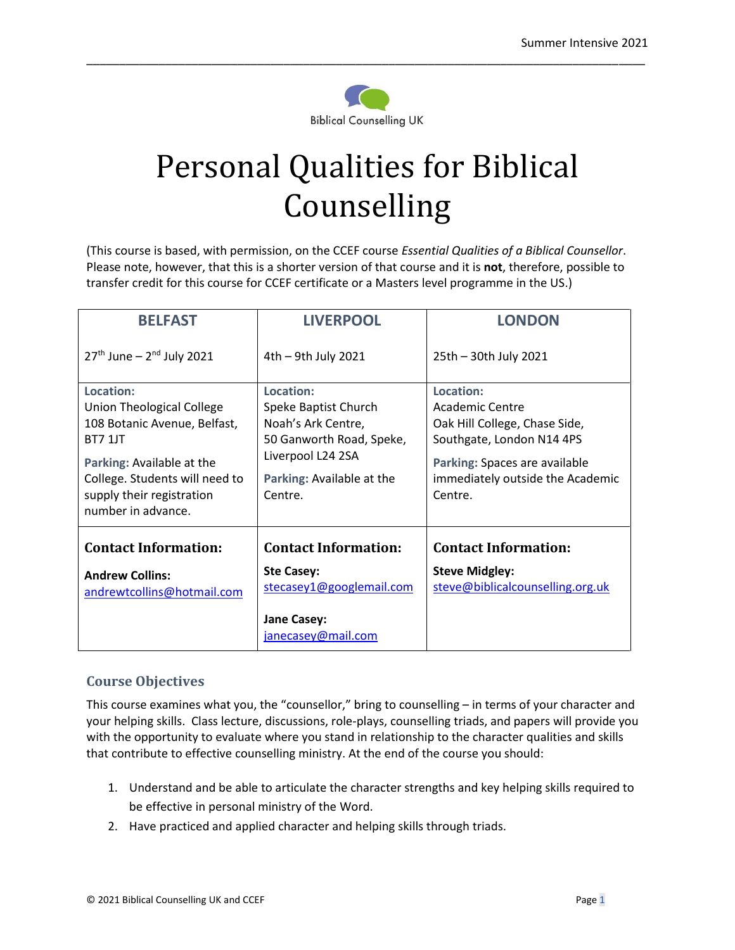

\_\_\_\_\_\_\_\_\_\_\_\_\_\_\_\_\_\_\_\_\_\_\_\_\_\_\_\_\_\_\_\_\_\_\_\_\_\_\_\_\_\_\_\_\_\_\_\_\_\_\_\_\_\_\_\_\_\_\_\_\_\_\_\_\_\_\_\_\_\_\_\_\_\_\_\_\_\_\_\_\_\_\_\_\_

# Personal Qualities for Biblical Counselling

(This course is based, with permission, on the CCEF course *Essential Qualities of a Biblical Counsellor*. Please note, however, that this is a shorter version of that course and it is **not**, therefore, possible to transfer credit for this course for CCEF certificate or a Masters level programme in the US.)

| <b>BELFAST</b>                                                                                                                                                                                             | <b>LIVERPOOL</b>                                                                                                                                 | <b>LONDON</b>                                                                                                                                                              |
|------------------------------------------------------------------------------------------------------------------------------------------------------------------------------------------------------------|--------------------------------------------------------------------------------------------------------------------------------------------------|----------------------------------------------------------------------------------------------------------------------------------------------------------------------------|
| $27th$ June – $2nd$ July 2021                                                                                                                                                                              | 4th - 9th July 2021                                                                                                                              | 25th - 30th July 2021                                                                                                                                                      |
| Location:<br>Union Theological College<br>108 Botanic Avenue, Belfast,<br><b>BT7 1JT</b><br>Parking: Available at the<br>College. Students will need to<br>supply their registration<br>number in advance. | Location:<br>Speke Baptist Church<br>Noah's Ark Centre,<br>50 Ganworth Road, Speke,<br>Liverpool L24 2SA<br>Parking: Available at the<br>Centre. | Location:<br>Academic Centre<br>Oak Hill College, Chase Side,<br>Southgate, London N14 4PS<br>Parking: Spaces are available<br>immediately outside the Academic<br>Centre. |
| <b>Contact Information:</b><br><b>Andrew Collins:</b><br>andrewtcollins@hotmail.com                                                                                                                        | <b>Contact Information:</b><br><b>Ste Casey:</b><br>stecasey1@googlemail.com<br><b>Jane Casey:</b><br>janecasey@mail.com                         | <b>Contact Information:</b><br><b>Steve Midgley:</b><br>steve@biblicalcounselling.org.uk                                                                                   |

## **Course Objectives**

This course examines what you, the "counsellor," bring to counselling – in terms of your character and your helping skills. Class lecture, discussions, role-plays, counselling triads, and papers will provide you with the opportunity to evaluate where you stand in relationship to the character qualities and skills that contribute to effective counselling ministry. At the end of the course you should:

- 1. Understand and be able to articulate the character strengths and key helping skills required to be effective in personal ministry of the Word.
- 2. Have practiced and applied character and helping skills through triads.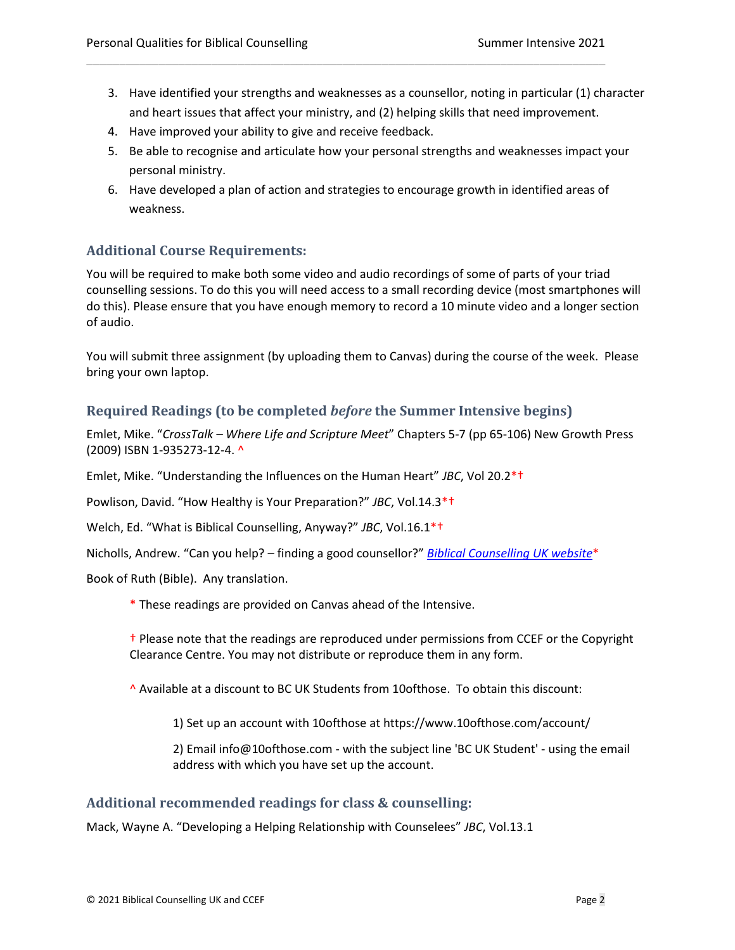3. Have identified your strengths and weaknesses as a counsellor, noting in particular (1) character and heart issues that affect your ministry, and (2) helping skills that need improvement.

\_\_\_\_\_\_\_\_\_\_\_\_\_\_\_\_\_\_\_\_\_\_\_\_\_\_\_\_\_\_\_\_\_\_\_\_\_\_\_\_\_\_\_\_\_\_\_\_\_\_\_\_\_\_\_\_\_\_\_\_\_\_\_\_\_\_\_\_\_\_\_\_\_\_\_\_\_\_\_

- 4. Have improved your ability to give and receive feedback.
- 5. Be able to recognise and articulate how your personal strengths and weaknesses impact your personal ministry.
- 6. Have developed a plan of action and strategies to encourage growth in identified areas of weakness.

## **Additional Course Requirements:**

You will be required to make both some video and audio recordings of some of parts of your triad counselling sessions. To do this you will need access to a small recording device (most smartphones will do this). Please ensure that you have enough memory to record a 10 minute video and a longer section of audio.

You will submit three assignment (by uploading them to Canvas) during the course of the week. Please bring your own laptop.

### **Required Readings (to be completed** *before* **the Summer Intensive begins)**

Emlet, Mike. "*CrossTalk – Where Life and Scripture Meet*" Chapters 5-7 (pp 65-106) New Growth Press (2009) ISBN 1-935273-12-4. ^

Emlet, Mike. "Understanding the Influences on the Human Heart" *JBC*, Vol 20.2\*†

Powlison, David. "How Healthy is Your Preparation?" *JBC*, Vol.14.3\*†

Welch, Ed. "What is Biblical Counselling, Anyway?" *JBC*, Vol.16.1\*†

Nicholls, Andrew. "Can you help? – finding a good counsellor?" *[Biblical Counselling UK website](https://www.biblicalcounselling.org.uk/wp-content/uploads/2019/12/Can-you-help-finding-a-good-counsellor.pdf)*\*

Book of Ruth (Bible). Any translation.

\* These readings are provided on Canvas ahead of the Intensive.

† Please note that the readings are reproduced under permissions from CCEF or the Copyright Clearance Centre. You may not distribute or reproduce them in any form.

^ Available at a discount to BC UK Students from 10ofthose. To obtain this discount:

1) Set up an account with 10ofthose at https://www.10ofthose.com/account/

2) Email info@10ofthose.com - with the subject line 'BC UK Student' - using the email address with which you have set up the account.

#### **Additional recommended readings for class & counselling:**

Mack, Wayne A. "Developing a Helping Relationship with Counselees" *JBC*, Vol.13.1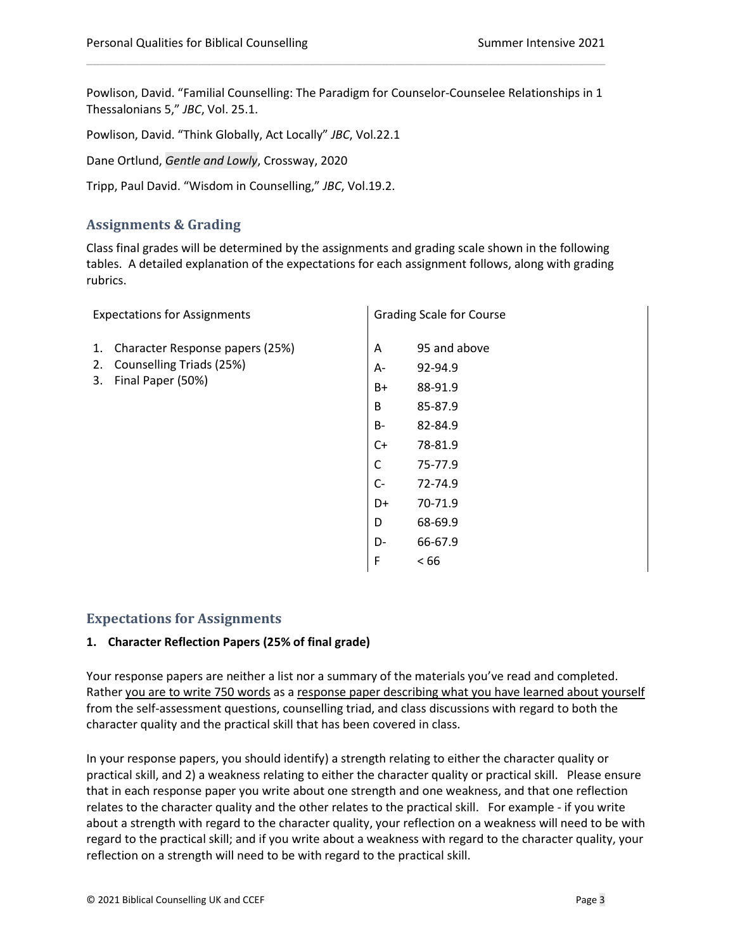Powlison, David. "Familial Counselling: The Paradigm for Counselor-Counselee Relationships in 1 Thessalonians 5," *JBC*, Vol. 25.1.

\_\_\_\_\_\_\_\_\_\_\_\_\_\_\_\_\_\_\_\_\_\_\_\_\_\_\_\_\_\_\_\_\_\_\_\_\_\_\_\_\_\_\_\_\_\_\_\_\_\_\_\_\_\_\_\_\_\_\_\_\_\_\_\_\_\_\_\_\_\_\_\_\_\_\_\_\_\_\_

Powlison, David. "Think Globally, Act Locally" *JBC*, Vol.22.1

Dane Ortlund, *Gentle and Lowly*, Crossway, 2020

Tripp, Paul David. "Wisdom in Counselling," *JBC*, Vol.19.2.

## **Assignments & Grading**

Class final grades will be determined by the assignments and grading scale shown in the following tables. A detailed explanation of the expectations for each assignment follows, along with grading rubrics.

| <b>Expectations for Assignments</b>                       |                                 | <b>Grading Scale for Course</b> |              |
|-----------------------------------------------------------|---------------------------------|---------------------------------|--------------|
| 1.                                                        | Character Response papers (25%) | Α                               | 95 and above |
| Counselling Triads (25%)<br>2.<br>Final Paper (50%)<br>3. |                                 | А-                              | 92-94.9      |
|                                                           |                                 | $B+$                            | 88-91.9      |
|                                                           |                                 | B                               | 85-87.9      |
|                                                           |                                 | B-                              | 82-84.9      |
|                                                           |                                 | $C+$                            | 78-81.9      |
|                                                           |                                 | C                               | 75-77.9      |
|                                                           |                                 | $C-$                            | 72-74.9      |
|                                                           |                                 | D+                              | 70-71.9      |
|                                                           |                                 | D                               | 68-69.9      |
|                                                           |                                 | D-                              | 66-67.9      |
|                                                           |                                 | F                               | <66          |

#### **Expectations for Assignments**

#### **1. Character Reflection Papers (25% of final grade)**

Your response papers are neither a list nor a summary of the materials you've read and completed. Rather you are to write 750 words as a response paper describing what you have learned about yourself from the self-assessment questions, counselling triad, and class discussions with regard to both the character quality and the practical skill that has been covered in class.

In your response papers, you should identify) a strength relating to either the character quality or practical skill, and 2) a weakness relating to either the character quality or practical skill. Please ensure that in each response paper you write about one strength and one weakness, and that one reflection relates to the character quality and the other relates to the practical skill. For example - if you write about a strength with regard to the character quality, your reflection on a weakness will need to be with regard to the practical skill; and if you write about a weakness with regard to the character quality, your reflection on a strength will need to be with regard to the practical skill.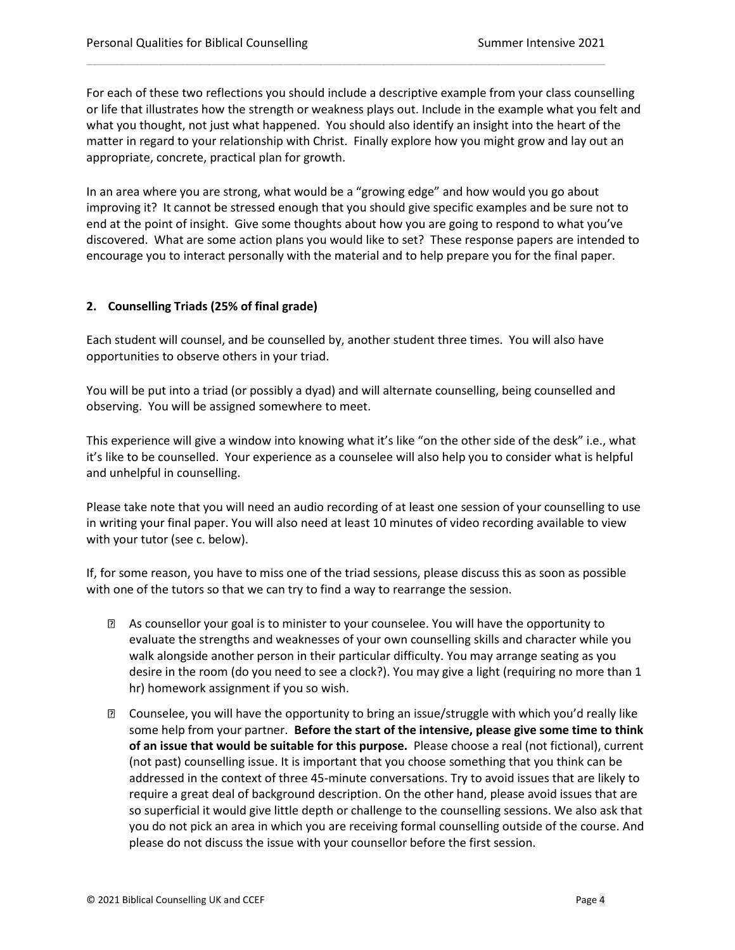For each of these two reflections you should include a descriptive example from your class counselling or life that illustrates how the strength or weakness plays out. Include in the example what you felt and what you thought, not just what happened. You should also identify an insight into the heart of the matter in regard to your relationship with Christ. Finally explore how you might grow and lay out an appropriate, concrete, practical plan for growth.

\_\_\_\_\_\_\_\_\_\_\_\_\_\_\_\_\_\_\_\_\_\_\_\_\_\_\_\_\_\_\_\_\_\_\_\_\_\_\_\_\_\_\_\_\_\_\_\_\_\_\_\_\_\_\_\_\_\_\_\_\_\_\_\_\_\_\_\_\_\_\_\_\_\_\_\_\_\_\_

In an area where you are strong, what would be a "growing edge" and how would you go about improving it? It cannot be stressed enough that you should give specific examples and be sure not to end at the point of insight. Give some thoughts about how you are going to respond to what you've discovered. What are some action plans you would like to set? These response papers are intended to encourage you to interact personally with the material and to help prepare you for the final paper.

#### **2. Counselling Triads (25% of final grade)**

Each student will counsel, and be counselled by, another student three times. You will also have opportunities to observe others in your triad.

You will be put into a triad (or possibly a dyad) and will alternate counselling, being counselled and observing. You will be assigned somewhere to meet.

This experience will give a window into knowing what it's like "on the other side of the desk" i.e., what it's like to be counselled. Your experience as a counselee will also help you to consider what is helpful and unhelpful in counselling.

Please take note that you will need an audio recording of at least one session of your counselling to use in writing your final paper. You will also need at least 10 minutes of video recording available to view with your tutor (see c. below).

If, for some reason, you have to miss one of the triad sessions, please discuss this as soon as possible with one of the tutors so that we can try to find a way to rearrange the session.

- As counsellor your goal is to minister to your counselee. You will have the opportunity to evaluate the strengths and weaknesses of your own counselling skills and character while you walk alongside another person in their particular difficulty. You may arrange seating as you desire in the room (do you need to see a clock?). You may give a light (requiring no more than 1 hr) homework assignment if you so wish.
- Counselee, you will have the opportunity to bring an issue/struggle with which you'd really like some help from your partner. **Before the start of the intensive, please give some time to think of an issue that would be suitable for this purpose.** Please choose a real (not fictional), current (not past) counselling issue. It is important that you choose something that you think can be addressed in the context of three 45-minute conversations. Try to avoid issues that are likely to require a great deal of background description. On the other hand, please avoid issues that are so superficial it would give little depth or challenge to the counselling sessions. We also ask that you do not pick an area in which you are receiving formal counselling outside of the course. And please do not discuss the issue with your counsellor before the first session.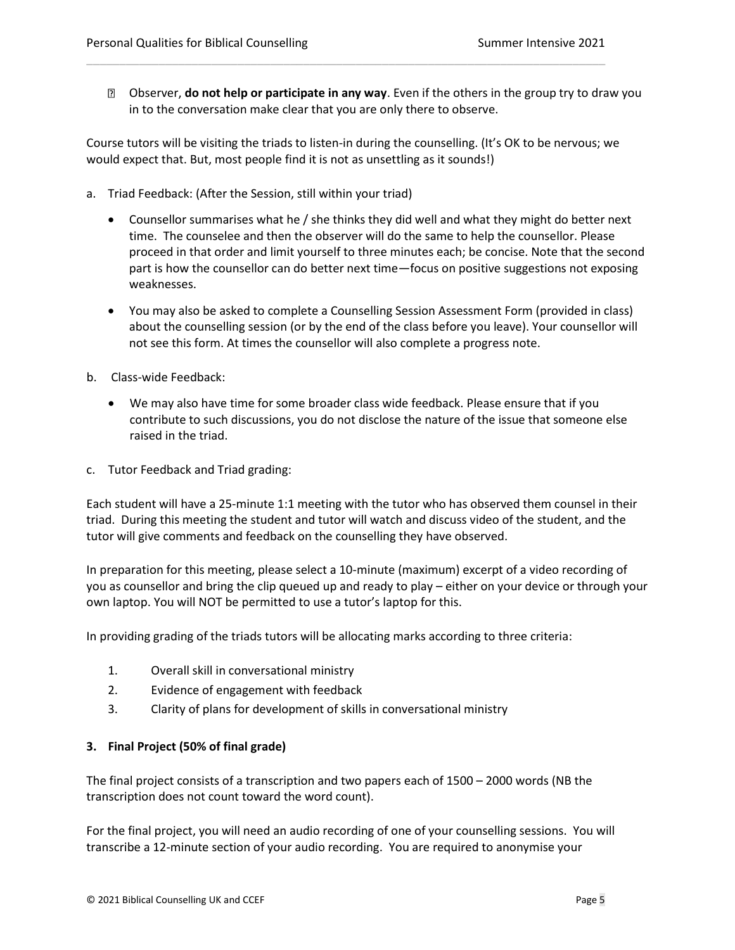Observer, **do not help or participate in any way**. Even if the others in the group try to draw you in to the conversation make clear that you are only there to observe.

Course tutors will be visiting the triads to listen-in during the counselling. (It's OK to be nervous; we would expect that. But, most people find it is not as unsettling as it sounds!)

\_\_\_\_\_\_\_\_\_\_\_\_\_\_\_\_\_\_\_\_\_\_\_\_\_\_\_\_\_\_\_\_\_\_\_\_\_\_\_\_\_\_\_\_\_\_\_\_\_\_\_\_\_\_\_\_\_\_\_\_\_\_\_\_\_\_\_\_\_\_\_\_\_\_\_\_\_\_\_

- a. Triad Feedback: (After the Session, still within your triad)
	- Counsellor summarises what he / she thinks they did well and what they might do better next time. The counselee and then the observer will do the same to help the counsellor. Please proceed in that order and limit yourself to three minutes each; be concise. Note that the second part is how the counsellor can do better next time—focus on positive suggestions not exposing weaknesses.
	- You may also be asked to complete a Counselling Session Assessment Form (provided in class) about the counselling session (or by the end of the class before you leave). Your counsellor will not see this form. At times the counsellor will also complete a progress note.
- b. Class-wide Feedback:
	- We may also have time for some broader class wide feedback. Please ensure that if you contribute to such discussions, you do not disclose the nature of the issue that someone else raised in the triad.
- c. Tutor Feedback and Triad grading:

Each student will have a 25-minute 1:1 meeting with the tutor who has observed them counsel in their triad. During this meeting the student and tutor will watch and discuss video of the student, and the tutor will give comments and feedback on the counselling they have observed.

In preparation for this meeting, please select a 10-minute (maximum) excerpt of a video recording of you as counsellor and bring the clip queued up and ready to play – either on your device or through your own laptop. You will NOT be permitted to use a tutor's laptop for this.

In providing grading of the triads tutors will be allocating marks according to three criteria:

- 1. Overall skill in conversational ministry
- 2. Evidence of engagement with feedback
- 3. Clarity of plans for development of skills in conversational ministry

#### **3. Final Project (50% of final grade)**

The final project consists of a transcription and two papers each of 1500 – 2000 words (NB the transcription does not count toward the word count).

For the final project, you will need an audio recording of one of your counselling sessions. You will transcribe a 12-minute section of your audio recording. You are required to anonymise your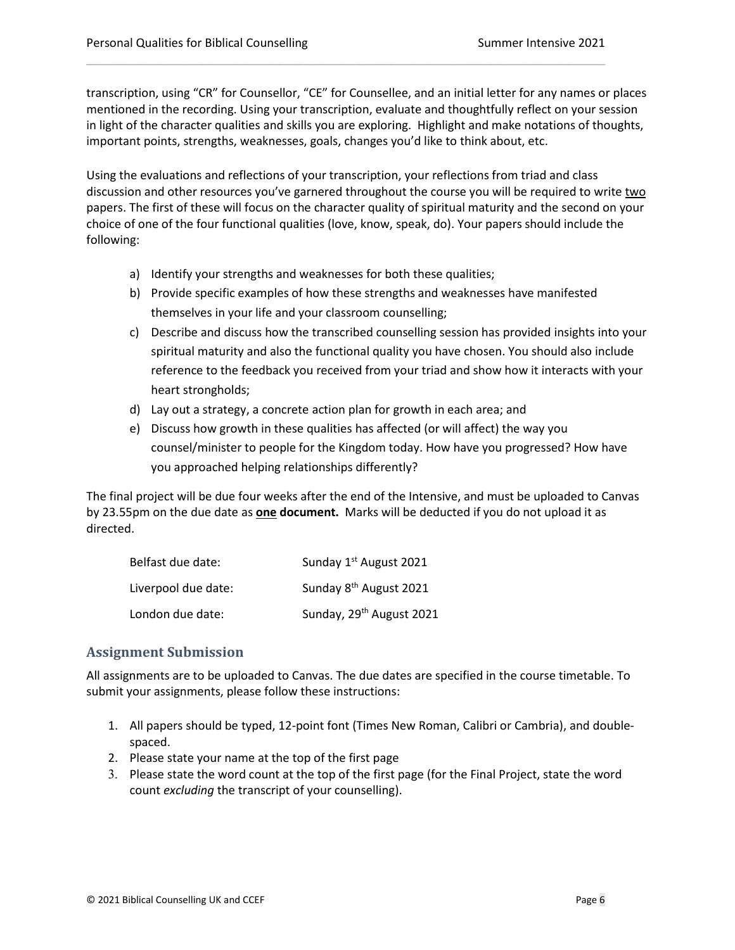transcription, using "CR" for Counsellor, "CE" for Counsellee, and an initial letter for any names or places mentioned in the recording. Using your transcription, evaluate and thoughtfully reflect on your session in light of the character qualities and skills you are exploring. Highlight and make notations of thoughts, important points, strengths, weaknesses, goals, changes you'd like to think about, etc.

\_\_\_\_\_\_\_\_\_\_\_\_\_\_\_\_\_\_\_\_\_\_\_\_\_\_\_\_\_\_\_\_\_\_\_\_\_\_\_\_\_\_\_\_\_\_\_\_\_\_\_\_\_\_\_\_\_\_\_\_\_\_\_\_\_\_\_\_\_\_\_\_\_\_\_\_\_\_\_

Using the evaluations and reflections of your transcription, your reflections from triad and class discussion and other resources you've garnered throughout the course you will be required to write two papers. The first of these will focus on the character quality of spiritual maturity and the second on your choice of one of the four functional qualities (love, know, speak, do). Your papers should include the following:

- a) Identify your strengths and weaknesses for both these qualities;
- b) Provide specific examples of how these strengths and weaknesses have manifested themselves in your life and your classroom counselling;
- c) Describe and discuss how the transcribed counselling session has provided insights into your spiritual maturity and also the functional quality you have chosen. You should also include reference to the feedback you received from your triad and show how it interacts with your heart strongholds;
- d) Lay out a strategy, a concrete action plan for growth in each area; and
- e) Discuss how growth in these qualities has affected (or will affect) the way you counsel/minister to people for the Kingdom today. How have you progressed? How have you approached helping relationships differently?

The final project will be due four weeks after the end of the Intensive, and must be uploaded to Canvas by 23.55pm on the due date as **one document.** Marks will be deducted if you do not upload it as directed.

| Belfast due date:   | Sunday 1 <sup>st</sup> August 2021   |
|---------------------|--------------------------------------|
| Liverpool due date: | Sunday 8 <sup>th</sup> August 2021   |
| London due date:    | Sunday, 29 <sup>th</sup> August 2021 |

## **Assignment Submission**

All assignments are to be uploaded to Canvas. The due dates are specified in the course timetable. To submit your assignments, please follow these instructions:

- 1. All papers should be typed, 12-point font (Times New Roman, Calibri or Cambria), and doublespaced.
- 2. Please state your name at the top of the first page
- 3. Please state the word count at the top of the first page (for the Final Project, state the word count *excluding* the transcript of your counselling).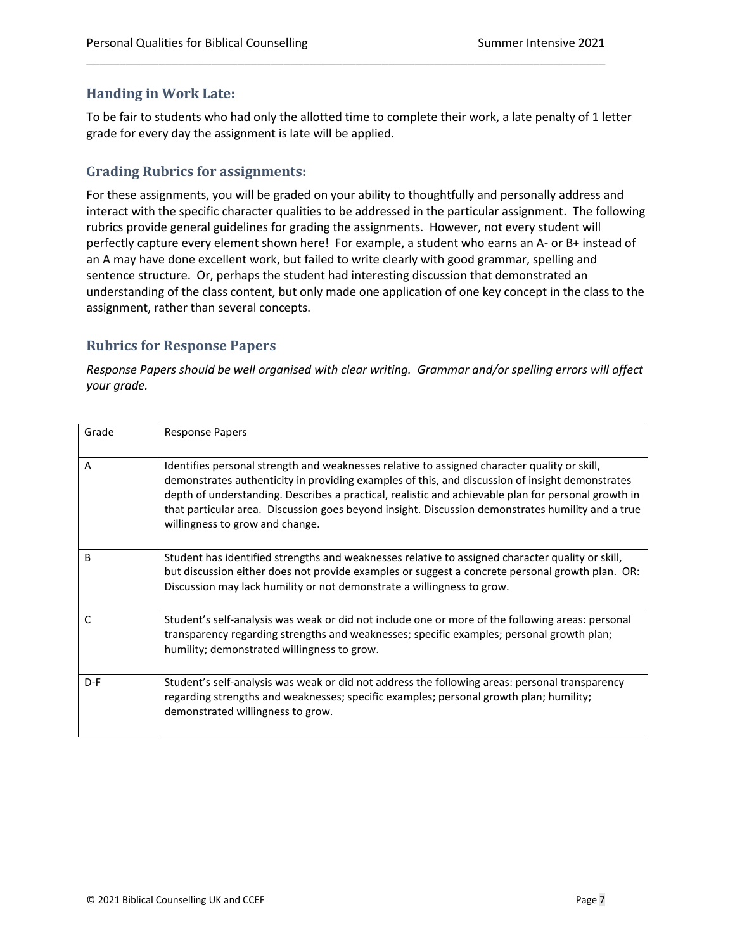## **Handing in Work Late:**

To be fair to students who had only the allotted time to complete their work, a late penalty of 1 letter grade for every day the assignment is late will be applied.

\_\_\_\_\_\_\_\_\_\_\_\_\_\_\_\_\_\_\_\_\_\_\_\_\_\_\_\_\_\_\_\_\_\_\_\_\_\_\_\_\_\_\_\_\_\_\_\_\_\_\_\_\_\_\_\_\_\_\_\_\_\_\_\_\_\_\_\_\_\_\_\_\_\_\_\_\_\_\_

## **Grading Rubrics for assignments:**

For these assignments, you will be graded on your ability to thoughtfully and personally address and interact with the specific character qualities to be addressed in the particular assignment. The following rubrics provide general guidelines for grading the assignments. However, not every student will perfectly capture every element shown here! For example, a student who earns an A- or B+ instead of an A may have done excellent work, but failed to write clearly with good grammar, spelling and sentence structure. Or, perhaps the student had interesting discussion that demonstrated an understanding of the class content, but only made one application of one key concept in the class to the assignment, rather than several concepts.

## **Rubrics for Response Papers**

*Response Papers should be well organised with clear writing. Grammar and/or spelling errors will affect your grade.* 

| Grade | <b>Response Papers</b>                                                                                                                                                                                                                                                                                                                                                                                                                         |
|-------|------------------------------------------------------------------------------------------------------------------------------------------------------------------------------------------------------------------------------------------------------------------------------------------------------------------------------------------------------------------------------------------------------------------------------------------------|
| A     | Identifies personal strength and weaknesses relative to assigned character quality or skill,<br>demonstrates authenticity in providing examples of this, and discussion of insight demonstrates<br>depth of understanding. Describes a practical, realistic and achievable plan for personal growth in<br>that particular area. Discussion goes beyond insight. Discussion demonstrates humility and a true<br>willingness to grow and change. |
| B     | Student has identified strengths and weaknesses relative to assigned character quality or skill,<br>but discussion either does not provide examples or suggest a concrete personal growth plan. OR:<br>Discussion may lack humility or not demonstrate a willingness to grow.                                                                                                                                                                  |
| C     | Student's self-analysis was weak or did not include one or more of the following areas: personal<br>transparency regarding strengths and weaknesses; specific examples; personal growth plan;<br>humility; demonstrated willingness to grow.                                                                                                                                                                                                   |
| $D-F$ | Student's self-analysis was weak or did not address the following areas: personal transparency<br>regarding strengths and weaknesses; specific examples; personal growth plan; humility;<br>demonstrated willingness to grow.                                                                                                                                                                                                                  |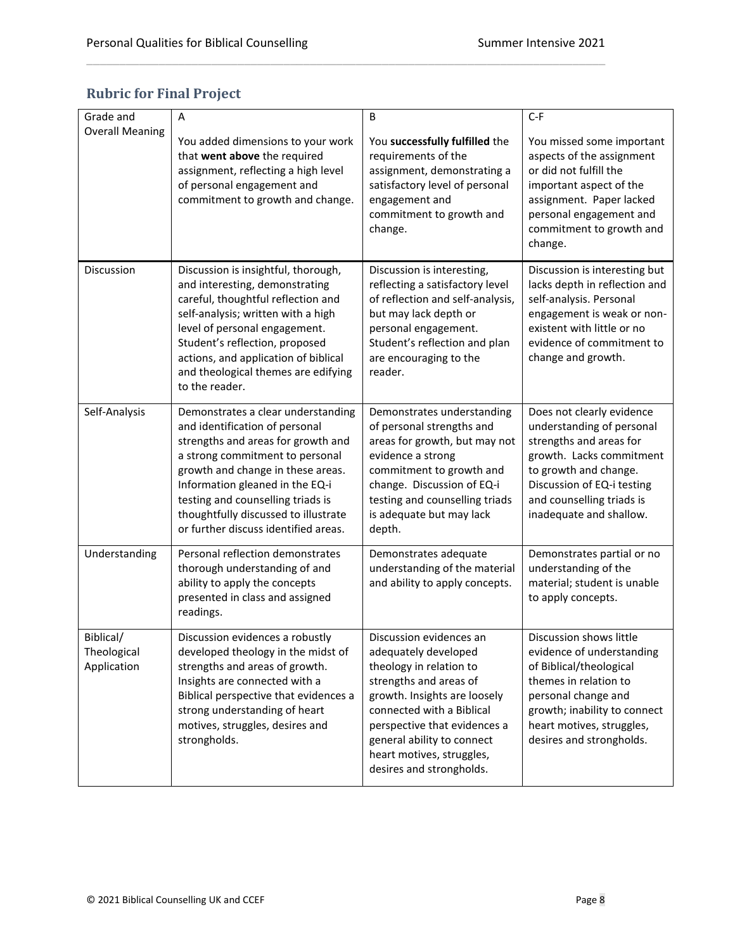|  | <b>Rubric for Final Project</b> |  |
|--|---------------------------------|--|
|  |                                 |  |

| Grade and                               | A                                                                                                                                                                                                                                                                                                                                          | B                                                                                                                                                                                                                                                                                        | $C-F$                                                                                                                                                                                                                        |
|-----------------------------------------|--------------------------------------------------------------------------------------------------------------------------------------------------------------------------------------------------------------------------------------------------------------------------------------------------------------------------------------------|------------------------------------------------------------------------------------------------------------------------------------------------------------------------------------------------------------------------------------------------------------------------------------------|------------------------------------------------------------------------------------------------------------------------------------------------------------------------------------------------------------------------------|
| <b>Overall Meaning</b>                  | You added dimensions to your work<br>that went above the required<br>assignment, reflecting a high level<br>of personal engagement and<br>commitment to growth and change.                                                                                                                                                                 | You successfully fulfilled the<br>requirements of the<br>assignment, demonstrating a<br>satisfactory level of personal<br>engagement and<br>commitment to growth and<br>change.                                                                                                          | You missed some important<br>aspects of the assignment<br>or did not fulfill the<br>important aspect of the<br>assignment. Paper lacked<br>personal engagement and<br>commitment to growth and<br>change.                    |
| Discussion                              | Discussion is insightful, thorough,<br>and interesting, demonstrating<br>careful, thoughtful reflection and<br>self-analysis; written with a high<br>level of personal engagement.<br>Student's reflection, proposed<br>actions, and application of biblical<br>and theological themes are edifying<br>to the reader.                      | Discussion is interesting,<br>reflecting a satisfactory level<br>of reflection and self-analysis,<br>but may lack depth or<br>personal engagement.<br>Student's reflection and plan<br>are encouraging to the<br>reader.                                                                 | Discussion is interesting but<br>lacks depth in reflection and<br>self-analysis. Personal<br>engagement is weak or non-<br>existent with little or no<br>evidence of commitment to<br>change and growth.                     |
| Self-Analysis                           | Demonstrates a clear understanding<br>and identification of personal<br>strengths and areas for growth and<br>a strong commitment to personal<br>growth and change in these areas.<br>Information gleaned in the EQ-i<br>testing and counselling triads is<br>thoughtfully discussed to illustrate<br>or further discuss identified areas. | Demonstrates understanding<br>of personal strengths and<br>areas for growth, but may not<br>evidence a strong<br>commitment to growth and<br>change. Discussion of EQ-i<br>testing and counselling triads<br>is adequate but may lack<br>depth.                                          | Does not clearly evidence<br>understanding of personal<br>strengths and areas for<br>growth. Lacks commitment<br>to growth and change.<br>Discussion of EQ-i testing<br>and counselling triads is<br>inadequate and shallow. |
| Understanding                           | Personal reflection demonstrates<br>thorough understanding of and<br>ability to apply the concepts<br>presented in class and assigned<br>readings.                                                                                                                                                                                         | Demonstrates adequate<br>understanding of the material<br>and ability to apply concepts.                                                                                                                                                                                                 | Demonstrates partial or no<br>understanding of the<br>material; student is unable<br>to apply concepts.                                                                                                                      |
| Biblical/<br>Theological<br>Application | Discussion evidences a robustly<br>developed theology in the midst of<br>strengths and areas of growth.<br>Insights are connected with a<br>Biblical perspective that evidences a<br>strong understanding of heart<br>motives, struggles, desires and<br>strongholds.                                                                      | Discussion evidences an<br>adequately developed<br>theology in relation to<br>strengths and areas of<br>growth. Insights are loosely<br>connected with a Biblical<br>perspective that evidences a<br>general ability to connect<br>heart motives, struggles,<br>desires and strongholds. | Discussion shows little<br>evidence of understanding<br>of Biblical/theological<br>themes in relation to<br>personal change and<br>growth; inability to connect<br>heart motives, struggles,<br>desires and strongholds.     |

\_\_\_\_\_\_\_\_\_\_\_\_\_\_\_\_\_\_\_\_\_\_\_\_\_\_\_\_\_\_\_\_\_\_\_\_\_\_\_\_\_\_\_\_\_\_\_\_\_\_\_\_\_\_\_\_\_\_\_\_\_\_\_\_\_\_\_\_\_\_\_\_\_\_\_\_\_\_\_